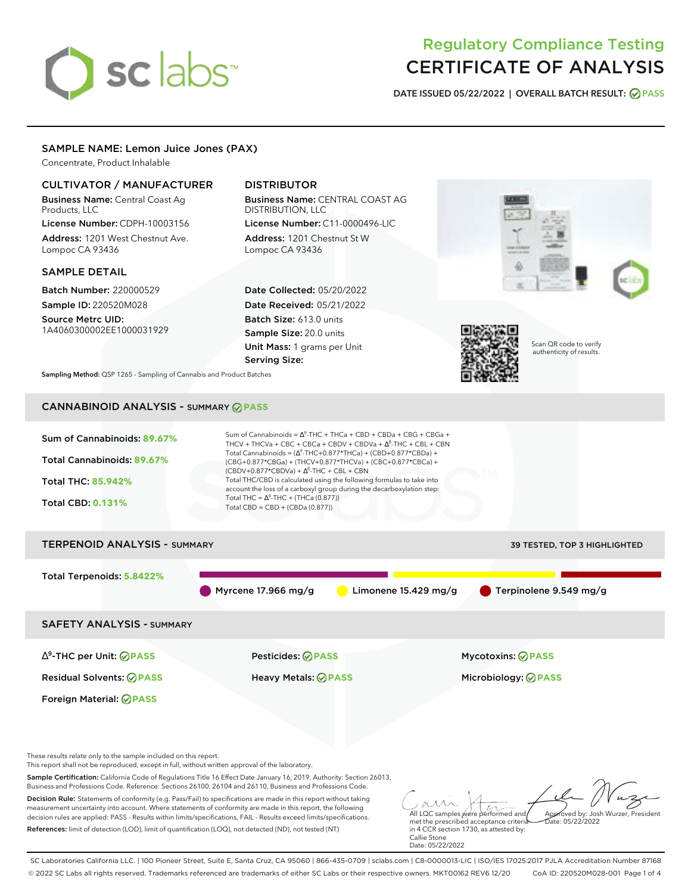# sclabs<sup>\*</sup>

# Regulatory Compliance Testing CERTIFICATE OF ANALYSIS

**DATE ISSUED 05/22/2022 | OVERALL BATCH RESULT: PASS**

# SAMPLE NAME: Lemon Juice Jones (PAX)

Concentrate, Product Inhalable

# CULTIVATOR / MANUFACTURER

Business Name: Central Coast Ag Products, LLC

License Number: CDPH-10003156 Address: 1201 West Chestnut Ave. Lompoc CA 93436

## SAMPLE DETAIL

Batch Number: 220000529 Sample ID: 220520M028

Source Metrc UID: 1A4060300002EE1000031929

# DISTRIBUTOR

Business Name: CENTRAL COAST AG DISTRIBUTION, LLC License Number: C11-0000496-LIC

Address: 1201 Chestnut St W Lompoc CA 93436

Date Collected: 05/20/2022 Date Received: 05/21/2022 Batch Size: 613.0 units Sample Size: 20.0 units Unit Mass: 1 grams per Unit Serving Size:





Scan QR code to verify authenticity of results.

**Sampling Method:** QSP 1265 - Sampling of Cannabis and Product Batches

# CANNABINOID ANALYSIS - SUMMARY **PASS**

| Sum of Cannabinoids: 89.67%<br>Total Cannabinoids: 89.67%<br><b>Total THC: 85,942%</b><br><b>Total CBD: 0.131%</b> | Sum of Cannabinoids = $\Delta^9$ -THC + THCa + CBD + CBDa + CBG + CBGa +<br>THCV + THCVa + CBC + CBCa + CBDV + CBDVa + $\Delta^8$ -THC + CBL + CBN<br>Total Cannabinoids = $(\Delta^9$ -THC+0.877*THCa) + (CBD+0.877*CBDa) +<br>(CBG+0.877*CBGa) + (THCV+0.877*THCVa) + (CBC+0.877*CBCa) +<br>$(CBDV+0.877*CBDVa) + \Delta^8$ -THC + CBL + CBN<br>Total THC/CBD is calculated using the following formulas to take into<br>account the loss of a carboxyl group during the decarboxylation step:<br>Total THC = $\Delta^9$ -THC + (THCa (0.877))<br>Total CBD = $CBD + (CBDa (0.877))$ |                                     |  |  |  |
|--------------------------------------------------------------------------------------------------------------------|----------------------------------------------------------------------------------------------------------------------------------------------------------------------------------------------------------------------------------------------------------------------------------------------------------------------------------------------------------------------------------------------------------------------------------------------------------------------------------------------------------------------------------------------------------------------------------------|-------------------------------------|--|--|--|
| <b>TERPENOID ANALYSIS - SUMMARY</b>                                                                                |                                                                                                                                                                                                                                                                                                                                                                                                                                                                                                                                                                                        | <b>39 TESTED, TOP 3 HIGHLIGHTED</b> |  |  |  |
| Total Terpenoids: 5.8422%                                                                                          | Myrcene 17.966 mg/g<br>Limonene $15.429$ mg/g                                                                                                                                                                                                                                                                                                                                                                                                                                                                                                                                          | Terpinolene 9.549 mg/g              |  |  |  |
| <b>SAFETY ANALYSIS - SUMMARY</b>                                                                                   |                                                                                                                                                                                                                                                                                                                                                                                                                                                                                                                                                                                        |                                     |  |  |  |
| $\Delta^9$ -THC per Unit: $\oslash$ PASS                                                                           | Pesticides: ⊘PASS                                                                                                                                                                                                                                                                                                                                                                                                                                                                                                                                                                      | <b>Mycotoxins: ⊘PASS</b>            |  |  |  |

Residual Solvents: **PASS** Heavy Metals: **PASS** Microbiology: **PASS**

Foreign Material: **PASS**

These results relate only to the sample included on this report.

This report shall not be reproduced, except in full, without written approval of the laboratory.

Sample Certification: California Code of Regulations Title 16 Effect Date January 16, 2019. Authority: Section 26013, Business and Professions Code. Reference: Sections 26100, 26104 and 26110, Business and Professions Code.

Decision Rule: Statements of conformity (e.g. Pass/Fail) to specifications are made in this report without taking measurement uncertainty into account. Where statements of conformity are made in this report, the following decision rules are applied: PASS - Results within limits/specifications, FAIL - Results exceed limits/specifications. References: limit of detection (LOD), limit of quantification (LOQ), not detected (ND), not tested (NT)

All LQC samples were performed and met the prescribed acceptance criteria Approved by: Josh Wurzer, President  $hat: 05/22/2022$ 

in 4 CCR section 1730, as attested by: Callie Stone Date: 05/22/2022

SC Laboratories California LLC. | 100 Pioneer Street, Suite E, Santa Cruz, CA 95060 | 866-435-0709 | sclabs.com | C8-0000013-LIC | ISO/IES 17025:2017 PJLA Accreditation Number 87168 © 2022 SC Labs all rights reserved. Trademarks referenced are trademarks of either SC Labs or their respective owners. MKT00162 REV6 12/20 CoA ID: 220520M028-001 Page 1 of 4